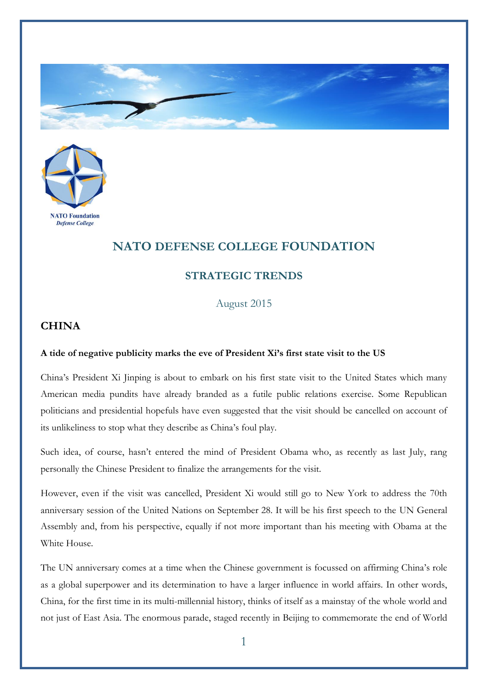



## **NATO DEFENSE COLLEGE FOUNDATION**

## **STRATEGIC TRENDS**

August 2015

## **CHINA**

## **A tide of negative publicity marks the eve of President Xi's first state visit to the US**

China's President Xi Jinping is about to embark on his first state visit to the United States which many American media pundits have already branded as a futile public relations exercise. Some Republican politicians and presidential hopefuls have even suggested that the visit should be cancelled on account of its unlikeliness to stop what they describe as China's foul play.

Such idea, of course, hasn't entered the mind of President Obama who, as recently as last July, rang personally the Chinese President to finalize the arrangements for the visit.

However, even if the visit was cancelled, President Xi would still go to New York to address the 70th anniversary session of the United Nations on September 28. It will be his first speech to the UN General Assembly and, from his perspective, equally if not more important than his meeting with Obama at the White House

The UN anniversary comes at a time when the Chinese government is focussed on affirming China's role as a global superpower and its determination to have a larger influence in world affairs. In other words, China, for the first time in its multi-millennial history, thinks of itself as a mainstay of the whole world and not just of East Asia. The enormous parade, staged recently in Beijing to commemorate the end of World